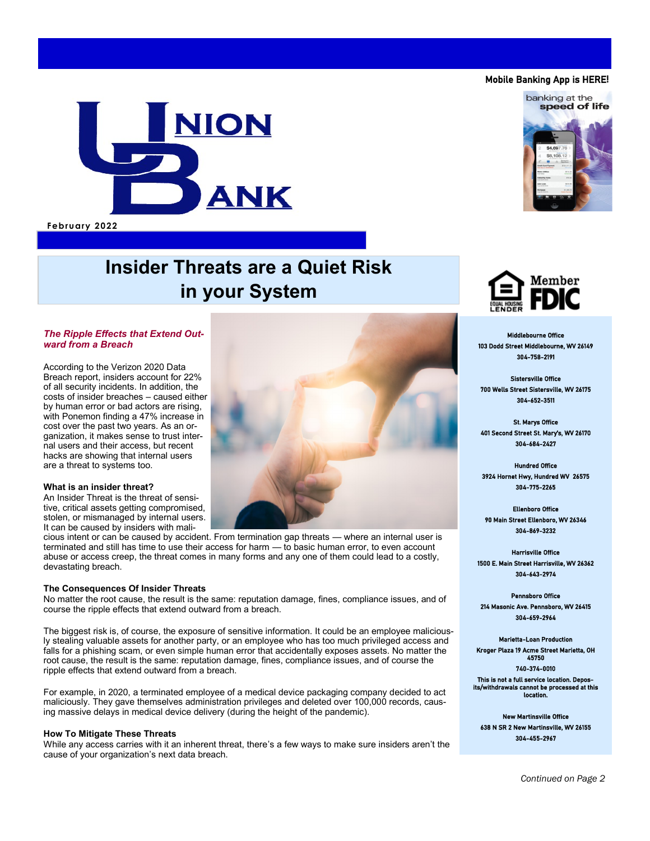# **NION** ANK

**February 2022**

## **Insider Threats are a Quiet Risk in your System**

#### *The Ripple Effects that Extend Outward from a Breach*

According to the Verizon 2020 Data Breach report, insiders account for 22% of all security incidents. In addition, the costs of insider breaches – caused either by human error or bad actors are rising, with Ponemon finding a 47% increase in cost over the past two years. As an organization, it makes sense to trust internal users and their access, but recent hacks are showing that internal users are a threat to systems too.

#### **What is an insider threat?**

An Insider Threat is the threat of sensitive, critical assets getting compromised, stolen, or mismanaged by internal users. It can be caused by insiders with mali-

cious intent or can be caused by accident. From termination gap threats — where an internal user is terminated and still has time to use their access for harm — to basic human error, to even account abuse or access creep, the threat comes in many forms and any one of them could lead to a costly, devastating breach.

### **The Consequences Of Insider Threats**

No matter the root cause, the result is the same: reputation damage, fines, compliance issues, and of course the ripple effects that extend outward from a breach.

The biggest risk is, of course, the exposure of sensitive information. It could be an employee maliciously stealing valuable assets for another party, or an employee who has too much privileged access and falls for a phishing scam, or even simple human error that accidentally exposes assets. No matter the root cause, the result is the same: reputation damage, fines, compliance issues, and of course the ripple effects that extend outward from a breach.

For example, in 2020, a terminated employee of a medical device packaging company decided to act maliciously. They gave themselves administration privileges and deleted over 100,000 records, causing massive delays in medical device delivery (during the height of the pandemic).

#### **How To Mitigate These Threats**

While any access carries with it an inherent threat, there's a few ways to make sure insiders aren't the cause of your organization's next data breach.



St. Marys Office 401 Second Street St. Mary's, WV 26170 304-684-2427

Middlebourne Office

Member

Hundred Office 3924 Hornet Hwy, Hundred WV 26575 304-775-2265

Ellenboro Office 90 Main Street Ellenboro, WV 26346 304-869-3232

Harrisville Office 1500 E. Main Street Harrisville, WV 26362 304-643-2974

Pennsboro Office 214 Masonic Ave. Pennsboro, WV 26415 304-659-2964

Marietta-Loan Production Kroger Plaza 19 Acme Street Marietta, OH 45750 740-374-0010

This is not a full service location. Depos-its/withdrawals cannot be processed at this location.

New Martinsville Office 638 N SR 2 New Martinsville, WV 26155 304-455-2967



Mobile Banking App is HERE**!**

banking at the speed of life

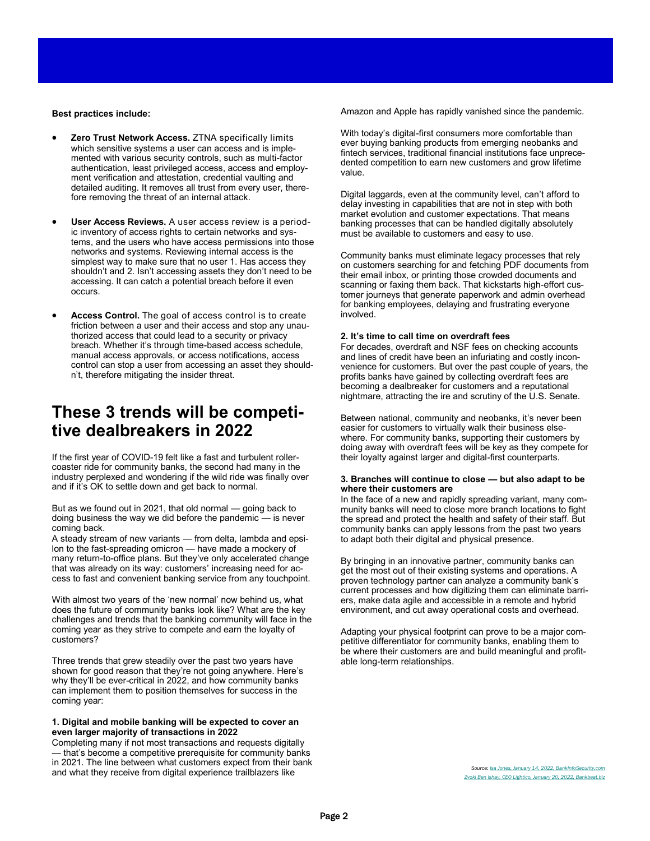#### **Best practices include:**

- **Zero Trust Network Access.** ZTNA specifically limits which sensitive systems a user can access and is implemented with various security controls, such as multi-factor authentication, least privileged access, access and employment verification and attestation, credential vaulting and detailed auditing. It removes all trust from every user, therefore removing the threat of an internal attack.
- **User Access Reviews.** A user access review is a periodic inventory of access rights to certain networks and systems, and the users who have access permissions into those networks and systems. Reviewing internal access is the simplest way to make sure that no user 1. Has access they shouldn't and 2. Isn't accessing assets they don't need to be accessing. It can catch a potential breach before it even occurs.
- **Access Control.** The goal of access control is to create friction between a user and their access and stop any unauthorized access that could lead to a security or privacy breach. Whether it's through time-based access schedule, manual access approvals, or access notifications, access control can stop a user from accessing an asset they shouldn't, therefore mitigating the insider threat.

## **These 3 trends will be competitive dealbreakers in 2022**

If the first year of COVID-19 felt like a fast and turbulent rollercoaster ride for community banks, the second had many in the industry perplexed and wondering if the wild ride was finally over and if it's OK to settle down and get back to normal.

But as we found out in 2021, that old normal — going back to doing business the way we did before the pandemic — is never coming back.

A steady stream of new variants — from delta, lambda and epsilon to the fast-spreading omicron — have made a mockery of many return-to-office plans. But they've only accelerated change that was already on its way: customers' increasing need for access to fast and convenient banking service from any touchpoint.

With almost two years of the 'new normal' now behind us, what does the future of community banks look like? What are the key challenges and trends that the banking community will face in the coming year as they strive to compete and earn the loyalty of customers?

Three trends that grew steadily over the past two years have shown for good reason that they're not going anywhere. Here's why they'll be ever-critical in 2022, and how community banks can implement them to position themselves for success in the coming year:

#### **1. Digital and mobile banking will be expected to cover an even larger majority of transactions in 2022**

Completing many if not most transactions and requests digitally that's become a competitive prerequisite for community banks in 2021. The line between what customers expect from their bank and what they receive from digital experience trailblazers like

Amazon and Apple has rapidly vanished since the pandemic.

With today's digital-first consumers more comfortable than ever buying banking products from emerging neobanks and fintech services, traditional financial institutions face unprecedented competition to earn new customers and grow lifetime value.

Digital laggards, even at the community level, can't afford to delay investing in capabilities that are not in step with both market evolution and customer expectations. That means banking processes that can be handled digitally absolutely must be available to customers and easy to use.

Community banks must eliminate legacy processes that rely on customers searching for and fetching PDF documents from their email inbox, or printing those crowded documents and scanning or faxing them back. That kickstarts high-effort customer journeys that generate paperwork and admin overhead for banking employees, delaying and frustrating everyone involved.

#### **2. It's time to call time on overdraft fees**

For decades, overdraft and NSF fees on checking accounts and lines of credit have been an infuriating and costly inconvenience for customers. But over the past couple of years, the profits banks have gained by collecting overdraft fees are becoming a dealbreaker for customers and a reputational nightmare, attracting the ire and scrutiny of the U.S. Senate.

Between national, community and neobanks, it's never been easier for customers to virtually walk their business elsewhere. For community banks, supporting their customers by doing away with overdraft fees will be key as they compete for their loyalty against larger and digital-first counterparts.

#### **3. Branches will continue to close — but also adapt to be where their customers are**

In the face of a new and rapidly spreading variant, many community banks will need to close more branch locations to fight the spread and protect the health and safety of their staff. But community banks can apply lessons from the past two years to adapt both their digital and physical presence.

By bringing in an innovative partner, community banks can get the most out of their existing systems and operations. A proven technology partner can analyze a community bank's current processes and how digitizing them can eliminate barriers, make data agile and accessible in a remote and hybrid environment, and cut away operational costs and overhead.

Adapting your physical footprint can prove to be a major competitive differentiator for community banks, enabling them to be where their customers are and build meaningful and profitable long-term relationships.